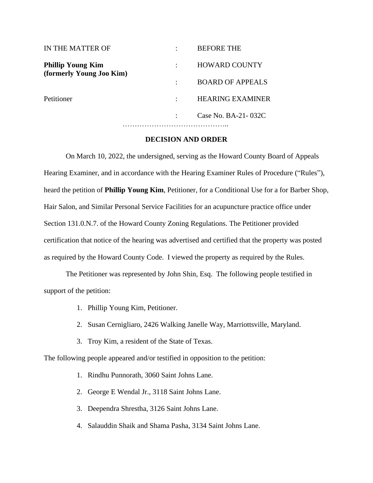| IN THE MATTER OF                                     | <b>BEFORE THE</b>       |
|------------------------------------------------------|-------------------------|
| <b>Phillip Young Kim</b><br>(formerly Young Joo Kim) | <b>HOWARD COUNTY</b>    |
|                                                      | <b>BOARD OF APPEALS</b> |
| Petitioner                                           | <b>HEARING EXAMINER</b> |
|                                                      | Case No. BA-21-032C     |
|                                                      |                         |

#### **DECISION AND ORDER**

On March 10, 2022, the undersigned, serving as the Howard County Board of Appeals Hearing Examiner, and in accordance with the Hearing Examiner Rules of Procedure ("Rules"), heard the petition of **Phillip Young Kim**, Petitioner, for a Conditional Use for a for Barber Shop, Hair Salon, and Similar Personal Service Facilities for an acupuncture practice office under Section 131.0.N.7. of the Howard County Zoning Regulations. The Petitioner provided certification that notice of the hearing was advertised and certified that the property was posted as required by the Howard County Code. I viewed the property as required by the Rules.

The Petitioner was represented by John Shin, Esq. The following people testified in support of the petition:

- 1. Phillip Young Kim, Petitioner.
- 2. Susan Cernigliaro, 2426 Walking Janelle Way, Marriottsville, Maryland.
- 3. Troy Kim, a resident of the State of Texas.

The following people appeared and/or testified in opposition to the petition:

- 1. Rindhu Punnorath, 3060 Saint Johns Lane.
- 2. George E Wendal Jr., 3118 Saint Johns Lane.
- 3. Deependra Shrestha, 3126 Saint Johns Lane.
- 4. Salauddin Shaik and Shama Pasha, 3134 Saint Johns Lane.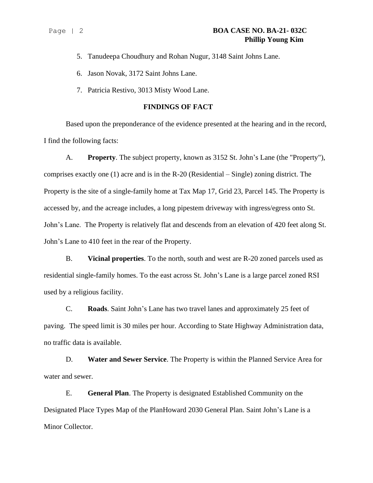- 5. Tanudeepa Choudhury and Rohan Nugur, 3148 Saint Johns Lane.
- 6. Jason Novak, 3172 Saint Johns Lane.
- 7. Patricia Restivo, 3013 Misty Wood Lane.

#### **FINDINGS OF FACT**

Based upon the preponderance of the evidence presented at the hearing and in the record, I find the following facts:

A. **Property**. The subject property, known as 3152 St. John's Lane (the "Property"), comprises exactly one (1) acre and is in the R-20 (Residential – Single) zoning district. The Property is the site of a single-family home at Tax Map 17, Grid 23, Parcel 145. The Property is accessed by, and the acreage includes, a long pipestem driveway with ingress/egress onto St. John's Lane. The Property is relatively flat and descends from an elevation of 420 feet along St. John's Lane to 410 feet in the rear of the Property.

B. **Vicinal properties**. To the north, south and west are R-20 zoned parcels used as residential single-family homes. To the east across St. John's Lane is a large parcel zoned RSI used by a religious facility.

C. **Roads**. Saint John's Lane has two travel lanes and approximately 25 feet of paving. The speed limit is 30 miles per hour. According to State Highway Administration data, no traffic data is available.

D. **Water and Sewer Service**. The Property is within the Planned Service Area for water and sewer.

E. **General Plan**. The Property is designated Established Community on the Designated Place Types Map of the PlanHoward 2030 General Plan. Saint John's Lane is a Minor Collector.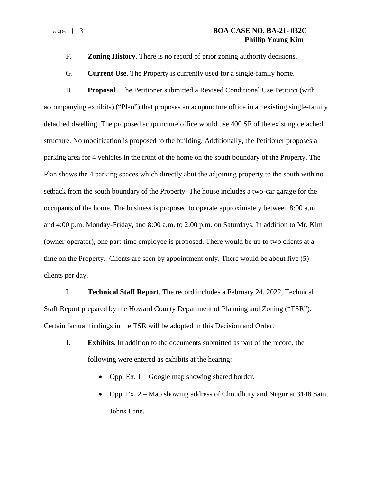#### Page | 3 **BOA CASE NO. BA-21- 032C Phillip Young Kim**

F. **Zoning History**. There is no record of prior zoning authority decisions.

G. **Current Use**. The Property is currently used for a single-family home.

H. **Proposal**. The Petitioner submitted a Revised Conditional Use Petition (with accompanying exhibits) ("Plan") that proposes an acupuncture office in an existing single-family detached dwelling. The proposed acupuncture office would use 400 SF of the existing detached structure. No modification is proposed to the building. Additionally, the Petitioner proposes a parking area for 4 vehicles in the front of the home on the south boundary of the Property. The Plan shows the 4 parking spaces which directly abut the adjoining property to the south with no setback from the south boundary of the Property. The house includes a two-car garage for the occupants of the home. The business is proposed to operate approximately between 8:00 a.m. and 4:00 p.m. Monday-Friday, and 8:00 a.m. to 2:00 p.m. on Saturdays. In addition to Mr. Kim (owner-operator), one part-time employee is proposed. There would be up to two clients at a time on the Property. Clients are seen by appointment only. There would be about five (5) clients per day.

I. **Technical Staff Report**. The record includes a February 24, 2022, Technical Staff Report prepared by the Howard County Department of Planning and Zoning ("TSR"). Certain factual findings in the TSR will be adopted in this Decision and Order.

- J. **Exhibits.** In addition to the documents submitted as part of the record, the following were entered as exhibits at the hearing:
	- Opp. Ex.  $1 Google$  map showing shared border.
	- Opp. Ex. 2 Map showing address of Choudhury and Nugur at 3148 Saint Johns Lane.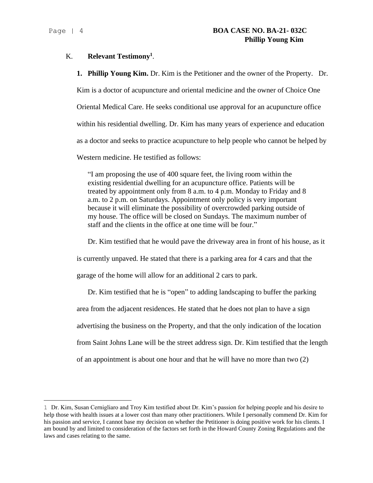#### K. **Relevant Testimony<sup>1</sup>** .

**1. Phillip Young Kim.** Dr. Kim is the Petitioner and the owner of the Property. Dr.

Kim is a doctor of acupuncture and oriental medicine and the owner of Choice One Oriental Medical Care. He seeks conditional use approval for an acupuncture office within his residential dwelling. Dr. Kim has many years of experience and education as a doctor and seeks to practice acupuncture to help people who cannot be helped by

Western medicine. He testified as follows:

"I am proposing the use of 400 square feet, the living room within the existing residential dwelling for an acupuncture office. Patients will be treated by appointment only from 8 a.m. to 4 p.m. Monday to Friday and 8 a.m. to 2 p.m. on Saturdays. Appointment only policy is very important because it will eliminate the possibility of overcrowded parking outside of my house. The office will be closed on Sundays. The maximum number of staff and the clients in the office at one time will be four."

Dr. Kim testified that he would pave the driveway area in front of his house, as it is currently unpaved. He stated that there is a parking area for 4 cars and that the garage of the home will allow for an additional 2 cars to park.

Dr. Kim testified that he is "open" to adding landscaping to buffer the parking area from the adjacent residences. He stated that he does not plan to have a sign advertising the business on the Property, and that the only indication of the location from Saint Johns Lane will be the street address sign. Dr. Kim testified that the length of an appointment is about one hour and that he will have no more than two (2)

<sup>1</sup> Dr. Kim, Susan Cernigliaro and Troy Kim testified about Dr. Kim's passion for helping people and his desire to help those with health issues at a lower cost than many other practitioners. While I personally commend Dr. Kim for his passion and service, I cannot base my decision on whether the Petitioner is doing positive work for his clients. I am bound by and limited to consideration of the factors set forth in the Howard County Zoning Regulations and the laws and cases relating to the same.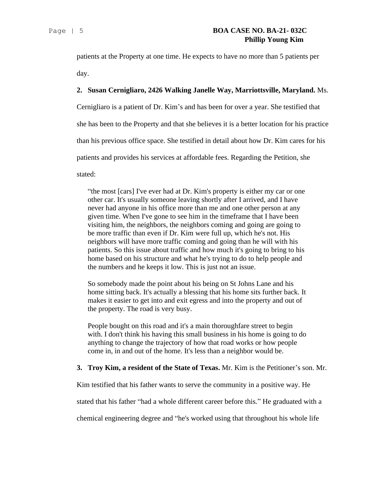patients at the Property at one time. He expects to have no more than 5 patients per day.

#### **2. Susan Cernigliaro, 2426 Walking Janelle Way, Marriottsville, Maryland.** Ms.

Cernigliaro is a patient of Dr. Kim's and has been for over a year. She testified that

she has been to the Property and that she believes it is a better location for his practice

than his previous office space. She testified in detail about how Dr. Kim cares for his

patients and provides his services at affordable fees. Regarding the Petition, she

stated:

"the most [cars] I've ever had at Dr. Kim's property is either my car or one other car. It's usually someone leaving shortly after I arrived, and I have never had anyone in his office more than me and one other person at any given time. When I've gone to see him in the timeframe that I have been visiting him, the neighbors, the neighbors coming and going are going to be more traffic than even if Dr. Kim were full up, which he's not. His neighbors will have more traffic coming and going than he will with his patients. So this issue about traffic and how much it's going to bring to his home based on his structure and what he's trying to do to help people and the numbers and he keeps it low. This is just not an issue.

So somebody made the point about his being on St Johns Lane and his home sitting back. It's actually a blessing that his home sits further back. It makes it easier to get into and exit egress and into the property and out of the property. The road is very busy.

People bought on this road and it's a main thoroughfare street to begin with. I don't think his having this small business in his home is going to do anything to change the trajectory of how that road works or how people come in, in and out of the home. It's less than a neighbor would be.

#### **3. Troy Kim, a resident of the State of Texas.** Mr. Kim is the Petitioner's son. Mr.

Kim testified that his father wants to serve the community in a positive way. He

stated that his father "had a whole different career before this." He graduated with a

chemical engineering degree and "he's worked using that throughout his whole life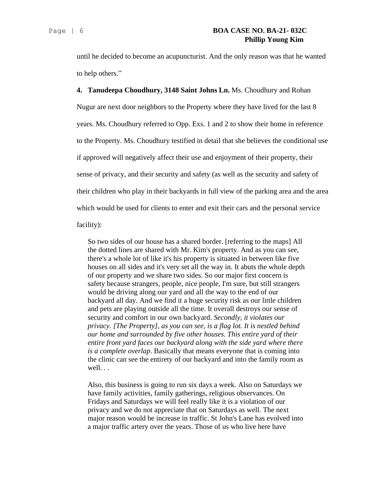until he decided to become an acupuncturist. And the only reason was that he wanted to help others."

**4. Tanudeepa Choudhury, 3148 Saint Johns Ln.** Ms. Choudhury and Rohan Nugur are next door neighbors to the Property where they have lived for the last 8 years. Ms. Choudhury referred to Opp. Exs. 1 and 2 to show their home in reference to the Property. Ms. Choudhury testified in detail that she believes the conditional use if approved will negatively affect their use and enjoyment of their property, their sense of privacy, and their security and safety (as well as the security and safety of their children who play in their backyards in full view of the parking area and the area which would be used for clients to enter and exit their cars and the personal service facility):

So two sides of our house has a shared border. [referring to the maps] All the dotted lines are shared with Mr. Kim's property. And as you can see, there's a whole lot of like it's his property is situated in between like five houses on all sides and it's very set all the way in. It abuts the whole depth of our property and we share two sides. So our major first concern is safety because strangers, people, nice people, I'm sure, but still strangers would be driving along our yard and all the way to the end of our backyard all day. And we find it a huge security risk as our little children and pets are playing outside all the time. It overall destroys our sense of security and comfort in our own backyard. *Secondly, it violates our privacy. [The Property], as you can see, is a flag lot. It is nestled behind our home and surrounded by five other houses. This entire yard of their entire front yard faces our backyard along with the side yard where there is a complete overlap*. Basically that means everyone that is coming into the clinic can see the entirety of our backyard and into the family room as well. . .

Also, this business is going to run six days a week. Also on Saturdays we have family activities, family gatherings, religious observances. On Fridays and Saturdays we will feel really like it is a violation of our privacy and we do not appreciate that on Saturdays as well. The next major reason would be increase in traffic. St John's Lane has evolved into a major traffic artery over the years. Those of us who live here have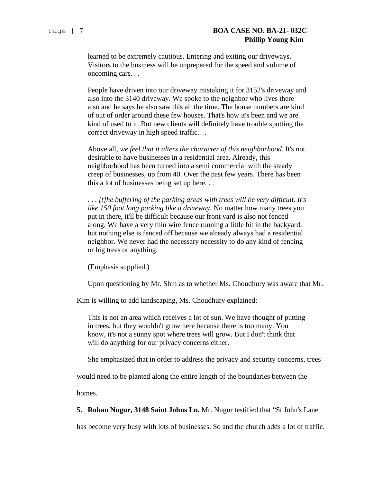learned to be extremely cautious. Entering and exiting our driveways. Visitors to the business will be unprepared for the speed and volume of oncoming cars. . .

People have driven into our driveway mistaking it for 3152's driveway and also into the 3140 driveway. We spoke to the neighbor who lives there also and he says he also saw this all the time. The house numbers are kind of out of order around these few houses. That's how it's been and we are kind of used to it. But new clients will definitely have trouble spotting the correct driveway in high speed traffic. . .

Above all, *we feel that it alters the character of this neighborhood*. It's not desirable to have businesses in a residential area. Already, this neighborhood has been turned into a semi commercial with the steady creep of businesses, up from 40. Over the past few years. There has been this a lot of businesses being set up here. . .

. . . *[t]he buffering of the parking areas with trees will be very difficult. It's like 150 foot long parking like a driveway.* No matter how many trees you put in there, it'll be difficult because our front yard is also not fenced along. We have a very thin wire fence running a little bit in the backyard, but nothing else is fenced off because we already always had a residential neighbor. We never had the necessary necessity to do any kind of fencing or big trees or anything.

(Emphasis supplied.)

Upon questioning by Mr. Shin as to whether Ms. Choudhury was aware that Mr.

Kim is willing to add landscaping, Ms. Choudhury explained:

This is not an area which receives a lot of sun. We have thought of putting in trees, but they wouldn't grow here because there is too many. You know, it's not a sunny spot where trees will grow. But I don't think that will do anything for our privacy concerns either.

She emphasized that in order to address the privacy and security concerns, trees

would need to be planted along the entire length of the boundaries between the

homes.

**5. Rohan Nugur, 3148 Saint Johns Ln.** Mr. Nugur testified that "St John's Lane

has become very busy with lots of businesses. So and the church adds a lot of traffic.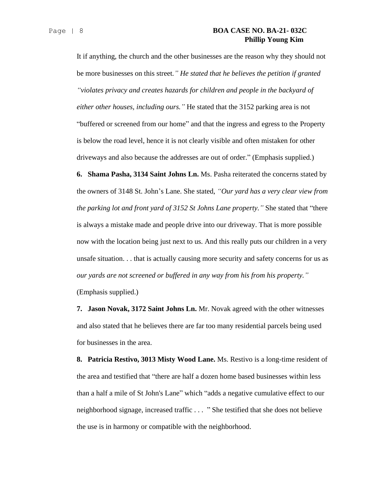#### Page | 8 **BOA CASE NO. BA-21- 032C Phillip Young Kim**

It if anything, the church and the other businesses are the reason why they should not be more businesses on this street*." He stated that he believes the petition if granted "violates privacy and creates hazards for children and people in the backyard of either other houses, including ours."* He stated that the 3152 parking area is not "buffered or screened from our home" and that the ingress and egress to the Property is below the road level, hence it is not clearly visible and often mistaken for other driveways and also because the addresses are out of order." (Emphasis supplied.)

**6. Shama Pasha, 3134 Saint Johns Ln.** Ms. Pasha reiterated the concerns stated by the owners of 3148 St. John's Lane. She stated, *"Our yard has a very clear view from the parking lot and front yard of 3152 St Johns Lane property."* She stated that "there is always a mistake made and people drive into our driveway. That is more possible now with the location being just next to us. And this really puts our children in a very unsafe situation. . . that is actually causing more security and safety concerns for us as *our yards are not screened or buffered in any way from his from his property."*

(Emphasis supplied.)

**7. Jason Novak, 3172 Saint Johns Ln.** Mr. Novak agreed with the other witnesses and also stated that he believes there are far too many residential parcels being used for businesses in the area.

**8. Patricia Restivo, 3013 Misty Wood Lane.** Ms. Restivo is a long-time resident of the area and testified that "there are half a dozen home based businesses within less than a half a mile of St John's Lane" which "adds a negative cumulative effect to our neighborhood signage, increased traffic . . . " She testified that she does not believe the use is in harmony or compatible with the neighborhood.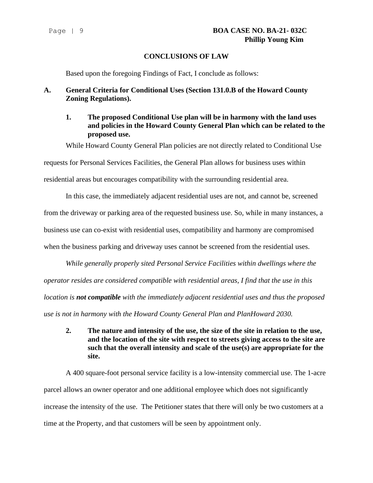### **CONCLUSIONS OF LAW**

Based upon the foregoing Findings of Fact, I conclude as follows:

## **A. General Criteria for Conditional Uses (Section 131.0.B of the Howard County Zoning Regulations).**

**1. The proposed Conditional Use plan will be in harmony with the land uses and policies in the Howard County General Plan which can be related to the proposed use.**

While Howard County General Plan policies are not directly related to Conditional Use

requests for Personal Services Facilities, the General Plan allows for business uses within

residential areas but encourages compatibility with the surrounding residential area.

In this case, the immediately adjacent residential uses are not, and cannot be, screened from the driveway or parking area of the requested business use. So, while in many instances, a business use can co-exist with residential uses, compatibility and harmony are compromised when the business parking and driveway uses cannot be screened from the residential uses.

*While generally properly sited Personal Service Facilities within dwellings where the operator resides are considered compatible with residential areas, I find that the use in this location is not compatible with the immediately adjacent residential uses and thus the proposed use is not in harmony with the Howard County General Plan and PlanHoward 2030.*

**2. The nature and intensity of the use, the size of the site in relation to the use, and the location of the site with respect to streets giving access to the site are such that the overall intensity and scale of the use(s) are appropriate for the site.**

A 400 square-foot personal service facility is a low-intensity commercial use. The 1-acre parcel allows an owner operator and one additional employee which does not significantly increase the intensity of the use. The Petitioner states that there will only be two customers at a time at the Property, and that customers will be seen by appointment only.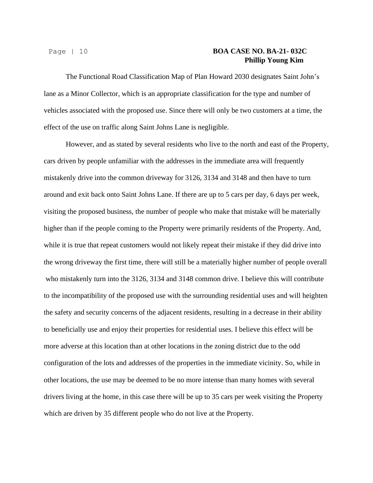#### Page | 10 **BOA CASE NO. BA-21- 032C Phillip Young Kim**

The Functional Road Classification Map of Plan Howard 2030 designates Saint John's lane as a Minor Collector, which is an appropriate classification for the type and number of vehicles associated with the proposed use. Since there will only be two customers at a time, the effect of the use on traffic along Saint Johns Lane is negligible.

However, and as stated by several residents who live to the north and east of the Property, cars driven by people unfamiliar with the addresses in the immediate area will frequently mistakenly drive into the common driveway for 3126, 3134 and 3148 and then have to turn around and exit back onto Saint Johns Lane. If there are up to 5 cars per day, 6 days per week, visiting the proposed business, the number of people who make that mistake will be materially higher than if the people coming to the Property were primarily residents of the Property. And, while it is true that repeat customers would not likely repeat their mistake if they did drive into the wrong driveway the first time, there will still be a materially higher number of people overall who mistakenly turn into the 3126, 3134 and 3148 common drive. I believe this will contribute to the incompatibility of the proposed use with the surrounding residential uses and will heighten the safety and security concerns of the adjacent residents, resulting in a decrease in their ability to beneficially use and enjoy their properties for residential uses. I believe this effect will be more adverse at this location than at other locations in the zoning district due to the odd configuration of the lots and addresses of the properties in the immediate vicinity. So, while in other locations, the use may be deemed to be no more intense than many homes with several drivers living at the home, in this case there will be up to 35 cars per week visiting the Property which are driven by 35 different people who do not live at the Property.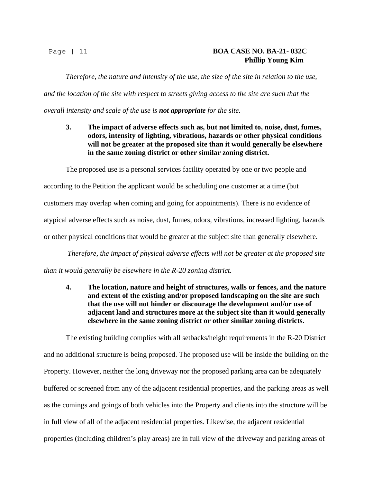#### Page | 11 **BOA CASE NO. BA-21- 032C Phillip Young Kim**

*Therefore, the nature and intensity of the use, the size of the site in relation to the use, and the location of the site with respect to streets giving access to the site are such that the overall intensity and scale of the use is not appropriate for the site.*

**3. The impact of adverse effects such as, but not limited to, noise, dust, fumes, odors, intensity of lighting, vibrations, hazards or other physical conditions will not be greater at the proposed site than it would generally be elsewhere in the same zoning district or other similar zoning district.**

The proposed use is a personal services facility operated by one or two people and according to the Petition the applicant would be scheduling one customer at a time (but customers may overlap when coming and going for appointments). There is no evidence of atypical adverse effects such as noise, dust, fumes, odors, vibrations, increased lighting, hazards or other physical conditions that would be greater at the subject site than generally elsewhere.

*Therefore, the impact of physical adverse effects will not be greater at the proposed site than it would generally be elsewhere in the R-20 zoning district.*

**4. The location, nature and height of structures, walls or fences, and the nature and extent of the existing and/or proposed landscaping on the site are such that the use will not hinder or discourage the development and/or use of adjacent land and structures more at the subject site than it would generally elsewhere in the same zoning district or other similar zoning districts.**

The existing building complies with all setbacks/height requirements in the R-20 District and no additional structure is being proposed. The proposed use will be inside the building on the Property. However, neither the long driveway nor the proposed parking area can be adequately buffered or screened from any of the adjacent residential properties, and the parking areas as well as the comings and goings of both vehicles into the Property and clients into the structure will be in full view of all of the adjacent residential properties. Likewise, the adjacent residential properties (including children's play areas) are in full view of the driveway and parking areas of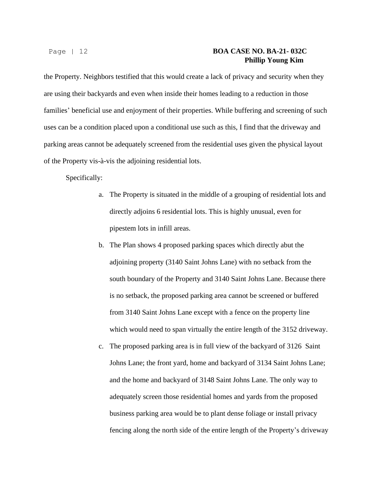## Page | 12 **BOA CASE NO. BA-21- 032C Phillip Young Kim**

the Property. Neighbors testified that this would create a lack of privacy and security when they are using their backyards and even when inside their homes leading to a reduction in those families' beneficial use and enjoyment of their properties. While buffering and screening of such uses can be a condition placed upon a conditional use such as this, I find that the driveway and parking areas cannot be adequately screened from the residential uses given the physical layout of the Property vis-à-vis the adjoining residential lots.

Specifically:

- a. The Property is situated in the middle of a grouping of residential lots and directly adjoins 6 residential lots. This is highly unusual, even for pipestem lots in infill areas.
- b. The Plan shows 4 proposed parking spaces which directly abut the adjoining property (3140 Saint Johns Lane) with no setback from the south boundary of the Property and 3140 Saint Johns Lane. Because there is no setback, the proposed parking area cannot be screened or buffered from 3140 Saint Johns Lane except with a fence on the property line which would need to span virtually the entire length of the 3152 driveway.
- c. The proposed parking area is in full view of the backyard of 3126 Saint Johns Lane; the front yard, home and backyard of 3134 Saint Johns Lane; and the home and backyard of 3148 Saint Johns Lane. The only way to adequately screen those residential homes and yards from the proposed business parking area would be to plant dense foliage or install privacy fencing along the north side of the entire length of the Property's driveway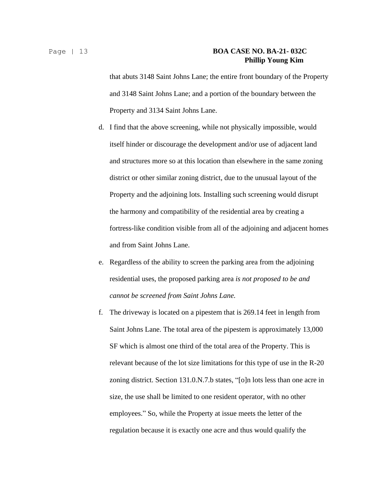## Page | 13 **BOA CASE NO. BA-21- 032C Phillip Young Kim**

that abuts 3148 Saint Johns Lane; the entire front boundary of the Property and 3148 Saint Johns Lane; and a portion of the boundary between the Property and 3134 Saint Johns Lane.

- d. I find that the above screening, while not physically impossible, would itself hinder or discourage the development and/or use of adjacent land and structures more so at this location than elsewhere in the same zoning district or other similar zoning district, due to the unusual layout of the Property and the adjoining lots. Installing such screening would disrupt the harmony and compatibility of the residential area by creating a fortress-like condition visible from all of the adjoining and adjacent homes and from Saint Johns Lane.
- e. Regardless of the ability to screen the parking area from the adjoining residential uses, the proposed parking area *is not proposed to be and cannot be screened from Saint Johns Lane.*
- f. The driveway is located on a pipestem that is 269.14 feet in length from Saint Johns Lane. The total area of the pipestem is approximately 13,000 SF which is almost one third of the total area of the Property. This is relevant because of the lot size limitations for this type of use in the R-20 zoning district. Section 131.0.N.7.b states, "[o]n lots less than one acre in size, the use shall be limited to one resident operator, with no other employees." So, while the Property at issue meets the letter of the regulation because it is exactly one acre and thus would qualify the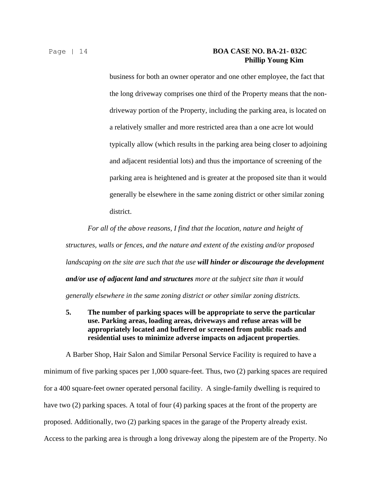#### Page | 14 **BOA CASE NO. BA-21- 032C Phillip Young Kim**

business for both an owner operator and one other employee, the fact that the long driveway comprises one third of the Property means that the nondriveway portion of the Property, including the parking area, is located on a relatively smaller and more restricted area than a one acre lot would typically allow (which results in the parking area being closer to adjoining and adjacent residential lots) and thus the importance of screening of the parking area is heightened and is greater at the proposed site than it would generally be elsewhere in the same zoning district or other similar zoning district.

*For all of the above reasons, I find that the location, nature and height of structures, walls or fences, and the nature and extent of the existing and/or proposed landscaping on the site are such that the use will hinder or discourage the development and/or use of adjacent land and structures more at the subject site than it would generally elsewhere in the same zoning district or other similar zoning districts.*

**5. The number of parking spaces will be appropriate to serve the particular use. Parking areas, loading areas, driveways and refuse areas will be appropriately located and buffered or screened from public roads and residential uses to minimize adverse impacts on adjacent properties**.

A Barber Shop, Hair Salon and Similar Personal Service Facility is required to have a minimum of five parking spaces per 1,000 square-feet. Thus, two (2) parking spaces are required for a 400 square-feet owner operated personal facility. A single-family dwelling is required to have two (2) parking spaces. A total of four (4) parking spaces at the front of the property are proposed. Additionally, two (2) parking spaces in the garage of the Property already exist. Access to the parking area is through a long driveway along the pipestem are of the Property. No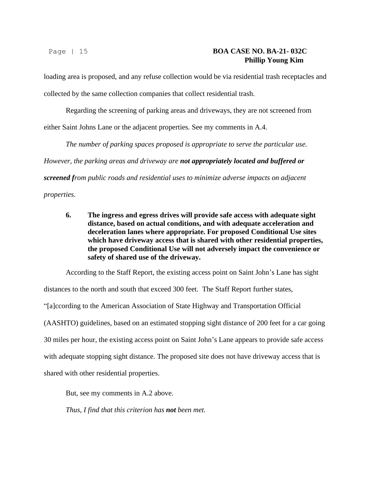loading area is proposed, and any refuse collection would be via residential trash receptacles and collected by the same collection companies that collect residential trash.

Regarding the screening of parking areas and driveways, they are not screened from

either Saint Johns Lane or the adjacent properties. See my comments in A.4.

*The number of parking spaces proposed is appropriate to serve the particular use. However, the parking areas and driveway are not appropriately located and buffered or screened from public roads and residential uses to minimize adverse impacts on adjacent properties.*

**6. The ingress and egress drives will provide safe access with adequate sight distance, based on actual conditions, and with adequate acceleration and deceleration lanes where appropriate. For proposed Conditional Use sites which have driveway access that is shared with other residential properties, the proposed Conditional Use will not adversely impact the convenience or safety of shared use of the driveway.**

According to the Staff Report, the existing access point on Saint John's Lane has sight distances to the north and south that exceed 300 feet. The Staff Report further states, "[a]ccording to the American Association of State Highway and Transportation Official (AASHTO) guidelines, based on an estimated stopping sight distance of 200 feet for a car going 30 miles per hour, the existing access point on Saint John's Lane appears to provide safe access with adequate stopping sight distance. The proposed site does not have driveway access that is shared with other residential properties.

But, see my comments in A.2 above.

*Thus, I find that this criterion has not been met.*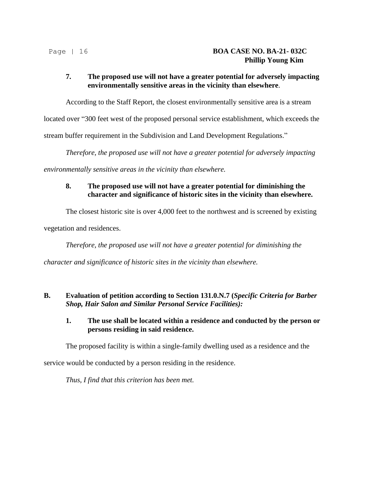## **7. The proposed use will not have a greater potential for adversely impacting environmentally sensitive areas in the vicinity than elsewhere**.

According to the Staff Report, the closest environmentally sensitive area is a stream

located over "300 feet west of the proposed personal service establishment, which exceeds the

stream buffer requirement in the Subdivision and Land Development Regulations."

*Therefore, the proposed use will not have a greater potential for adversely impacting* 

*environmentally sensitive areas in the vicinity than elsewhere.*

## **8. The proposed use will not have a greater potential for diminishing the character and significance of historic sites in the vicinity than elsewhere.**

The closest historic site is over 4,000 feet to the northwest and is screened by existing

vegetation and residences.

*Therefore, the proposed use will not have a greater potential for diminishing the* 

*character and significance of historic sites in the vicinity than elsewhere.*

#### **B. Evaluation of petition according to Section 131.0.N.7 (***Specific Criteria for Barber Shop, Hair Salon and Similar Personal Service Facilities):*

#### **1. The use shall be located within a residence and conducted by the person or persons residing in said residence.**

The proposed facility is within a single-family dwelling used as a residence and the

service would be conducted by a person residing in the residence.

*Thus, I find that this criterion has been met.*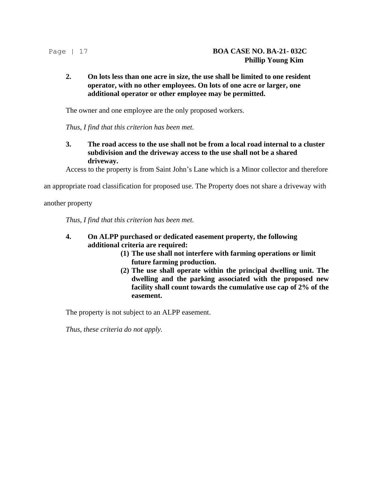#### **2. On lots less than one acre in size, the use shall be limited to one resident operator, with no other employees. On lots of one acre or larger, one additional operator or other employee may be permitted.**

The owner and one employee are the only proposed workers.

*Thus, I find that this criterion has been met.*

**3. The road access to the use shall not be from a local road internal to a cluster subdivision and the driveway access to the use shall not be a shared driveway.**

Access to the property is from Saint John's Lane which is a Minor collector and therefore

an appropriate road classification for proposed use. The Property does not share a driveway with

another property

*Thus, I find that this criterion has been met.*

#### **4. On ALPP purchased or dedicated easement property, the following additional criteria are required:**

- **(1) The use shall not interfere with farming operations or limit future farming production.**
- **(2) The use shall operate within the principal dwelling unit. The dwelling and the parking associated with the proposed new facility shall count towards the cumulative use cap of 2% of the easement.**

The property is not subject to an ALPP easement.

*Thus, these criteria do not apply.*